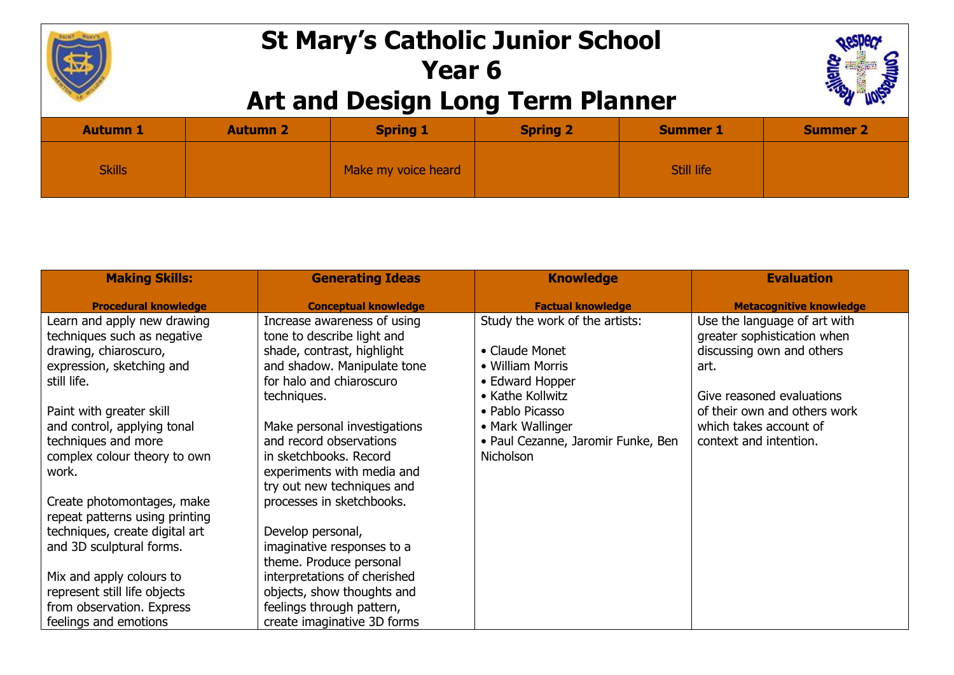

## **St Mary's Catholic Junior School Year 6 Art and Design Long Term Planner**



| <b>Autumn 1</b> | <b>Autumn 2</b> | <b>Spring 1</b>     | <b>Spring 2</b> | <b>Summer 1</b> | <b>Summer 2</b> |
|-----------------|-----------------|---------------------|-----------------|-----------------|-----------------|
| <b>Skills</b>   |                 | Make my voice heard |                 | Still life      |                 |

| <b>Making Skills:</b>          | <b>Generating Ideas</b>      | <b>Knowledge</b>                   | <b>Evaluation</b>              |
|--------------------------------|------------------------------|------------------------------------|--------------------------------|
| <b>Procedural knowledge</b>    | <b>Conceptual knowledge</b>  | <b>Factual knowledge</b>           | <b>Metacognitive knowledge</b> |
| Learn and apply new drawing    | Increase awareness of using  | Study the work of the artists:     | Use the language of art with   |
| techniques such as negative    | tone to describe light and   |                                    | greater sophistication when    |
| drawing, chiaroscuro,          | shade, contrast, highlight   | • Claude Monet                     | discussing own and others      |
| expression, sketching and      | and shadow. Manipulate tone  | • William Morris                   | art.                           |
| still life.                    | for halo and chiaroscuro     | • Edward Hopper                    |                                |
|                                | techniques.                  | • Kathe Kollwitz                   | Give reasoned evaluations      |
| Paint with greater skill       |                              | • Pablo Picasso                    | of their own and others work   |
| and control, applying tonal    | Make personal investigations | • Mark Wallinger                   | which takes account of         |
| techniques and more            | and record observations      | • Paul Cezanne, Jaromir Funke, Ben | context and intention.         |
| complex colour theory to own   | in sketchbooks. Record       | Nicholson                          |                                |
| work.                          | experiments with media and   |                                    |                                |
|                                | try out new techniques and   |                                    |                                |
| Create photomontages, make     | processes in sketchbooks.    |                                    |                                |
| repeat patterns using printing |                              |                                    |                                |
| techniques, create digital art | Develop personal,            |                                    |                                |
| and 3D sculptural forms.       | imaginative responses to a   |                                    |                                |
|                                | theme. Produce personal      |                                    |                                |
| Mix and apply colours to       | interpretations of cherished |                                    |                                |
| represent still life objects   | objects, show thoughts and   |                                    |                                |
| from observation. Express      | feelings through pattern,    |                                    |                                |
| feelings and emotions          | create imaginative 3D forms  |                                    |                                |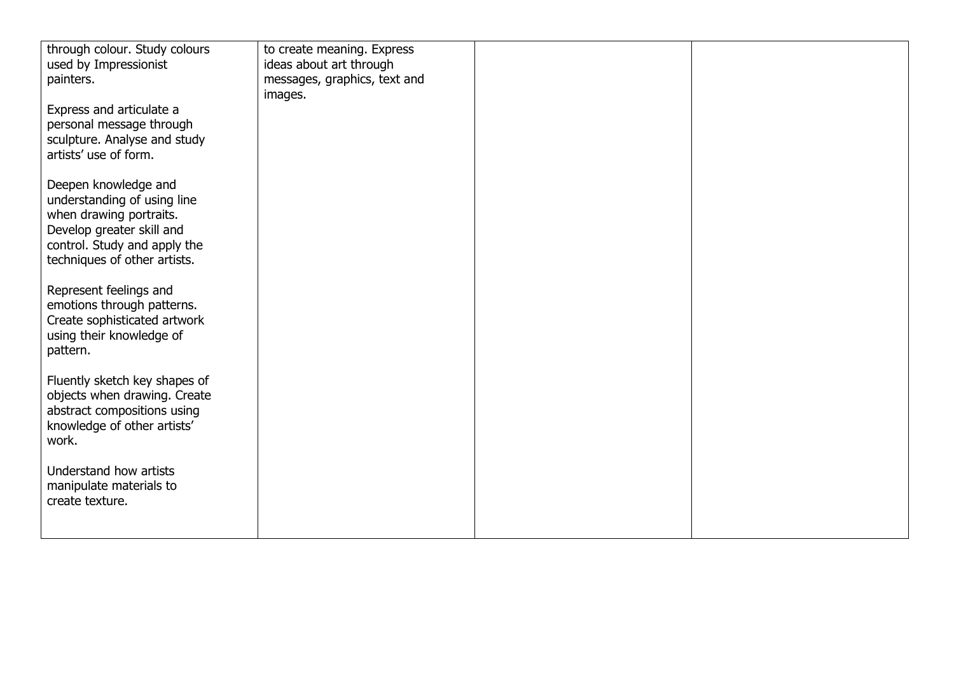| through colour. Study colours | to create meaning. Express   |  |
|-------------------------------|------------------------------|--|
| used by Impressionist         | ideas about art through      |  |
| painters.                     | messages, graphics, text and |  |
|                               | images.                      |  |
| Express and articulate a      |                              |  |
| personal message through      |                              |  |
| sculpture. Analyse and study  |                              |  |
| artists' use of form.         |                              |  |
|                               |                              |  |
| Deepen knowledge and          |                              |  |
| understanding of using line   |                              |  |
| when drawing portraits.       |                              |  |
| Develop greater skill and     |                              |  |
| control. Study and apply the  |                              |  |
| techniques of other artists.  |                              |  |
|                               |                              |  |
| Represent feelings and        |                              |  |
| emotions through patterns.    |                              |  |
| Create sophisticated artwork  |                              |  |
| using their knowledge of      |                              |  |
| pattern.                      |                              |  |
|                               |                              |  |
| Fluently sketch key shapes of |                              |  |
| objects when drawing. Create  |                              |  |
| abstract compositions using   |                              |  |
| knowledge of other artists'   |                              |  |
| work.                         |                              |  |
|                               |                              |  |
| Understand how artists        |                              |  |
| manipulate materials to       |                              |  |
| create texture.               |                              |  |
|                               |                              |  |
|                               |                              |  |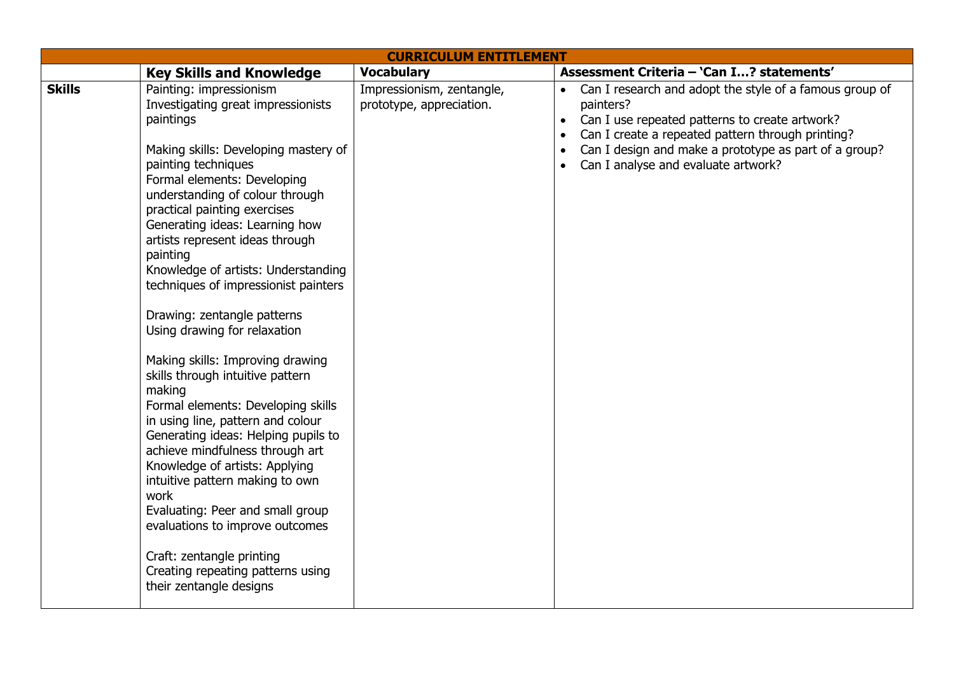|               |                                                                                                                                                                                                                                                                                                                                                                                                                                                                                                                                                                                                                                                                                                                                                                                                                                                                                                                                                                    | <b>CURRICULUM ENTITLEMENT</b>                         |                                                                                                                                                                                                                                                                                                                    |
|---------------|--------------------------------------------------------------------------------------------------------------------------------------------------------------------------------------------------------------------------------------------------------------------------------------------------------------------------------------------------------------------------------------------------------------------------------------------------------------------------------------------------------------------------------------------------------------------------------------------------------------------------------------------------------------------------------------------------------------------------------------------------------------------------------------------------------------------------------------------------------------------------------------------------------------------------------------------------------------------|-------------------------------------------------------|--------------------------------------------------------------------------------------------------------------------------------------------------------------------------------------------------------------------------------------------------------------------------------------------------------------------|
|               | <b>Key Skills and Knowledge</b>                                                                                                                                                                                                                                                                                                                                                                                                                                                                                                                                                                                                                                                                                                                                                                                                                                                                                                                                    | <b>Vocabulary</b>                                     | Assessment Criteria - 'Can I? statements'                                                                                                                                                                                                                                                                          |
| <b>Skills</b> | Painting: impressionism<br>Investigating great impressionists<br>paintings<br>Making skills: Developing mastery of<br>painting techniques<br>Formal elements: Developing<br>understanding of colour through<br>practical painting exercises<br>Generating ideas: Learning how<br>artists represent ideas through<br>painting<br>Knowledge of artists: Understanding<br>techniques of impressionist painters<br>Drawing: zentangle patterns<br>Using drawing for relaxation<br>Making skills: Improving drawing<br>skills through intuitive pattern<br>making<br>Formal elements: Developing skills<br>in using line, pattern and colour<br>Generating ideas: Helping pupils to<br>achieve mindfulness through art<br>Knowledge of artists: Applying<br>intuitive pattern making to own<br>work<br>Evaluating: Peer and small group<br>evaluations to improve outcomes<br>Craft: zentangle printing<br>Creating repeating patterns using<br>their zentangle designs | Impressionism, zentangle,<br>prototype, appreciation. | Can I research and adopt the style of a famous group of<br>painters?<br>Can I use repeated patterns to create artwork?<br>$\bullet$<br>Can I create a repeated pattern through printing?<br>$\bullet$<br>Can I design and make a prototype as part of a group?<br>$\bullet$<br>Can I analyse and evaluate artwork? |
|               |                                                                                                                                                                                                                                                                                                                                                                                                                                                                                                                                                                                                                                                                                                                                                                                                                                                                                                                                                                    |                                                       |                                                                                                                                                                                                                                                                                                                    |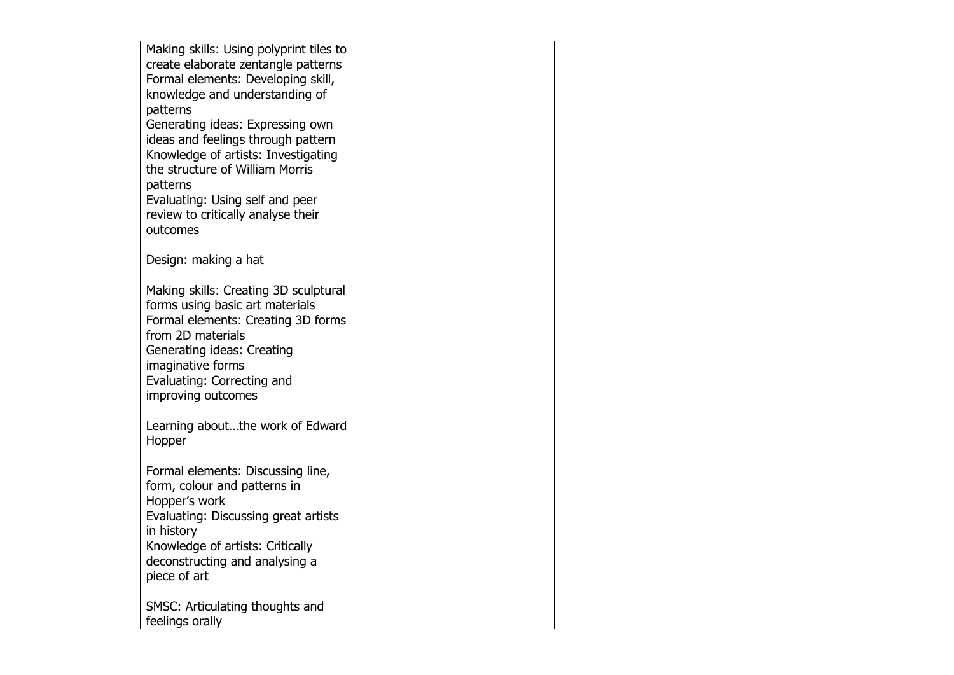| Making skills: Using polyprint tiles to |  |  |
|-----------------------------------------|--|--|
| create elaborate zentangle patterns     |  |  |
| Formal elements: Developing skill,      |  |  |
| knowledge and understanding of          |  |  |
| patterns                                |  |  |
| Generating ideas: Expressing own        |  |  |
| ideas and feelings through pattern      |  |  |
| Knowledge of artists: Investigating     |  |  |
| the structure of William Morris         |  |  |
| patterns                                |  |  |
| Evaluating: Using self and peer         |  |  |
| review to critically analyse their      |  |  |
| outcomes                                |  |  |
|                                         |  |  |
| Design: making a hat                    |  |  |
|                                         |  |  |
| Making skills: Creating 3D sculptural   |  |  |
| forms using basic art materials         |  |  |
| Formal elements: Creating 3D forms      |  |  |
| from 2D materials                       |  |  |
| Generating ideas: Creating              |  |  |
| imaginative forms                       |  |  |
| Evaluating: Correcting and              |  |  |
| improving outcomes                      |  |  |
|                                         |  |  |
| Learning aboutthe work of Edward        |  |  |
| Hopper                                  |  |  |
| Formal elements: Discussing line,       |  |  |
| form, colour and patterns in            |  |  |
| Hopper's work                           |  |  |
| Evaluating: Discussing great artists    |  |  |
| in history                              |  |  |
| Knowledge of artists: Critically        |  |  |
| deconstructing and analysing a          |  |  |
| piece of art                            |  |  |
|                                         |  |  |
| SMSC: Articulating thoughts and         |  |  |
| feelings orally                         |  |  |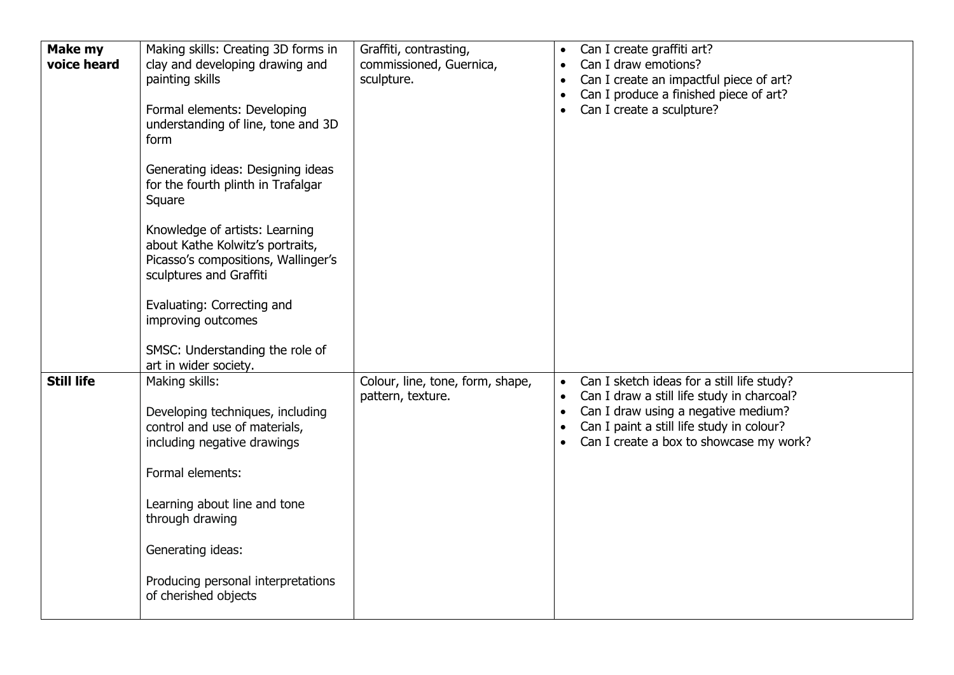| <b>Make my</b><br>voice heard | Making skills: Creating 3D forms in<br>clay and developing drawing and<br>painting skills<br>Formal elements: Developing<br>understanding of line, tone and 3D<br>form<br>Generating ideas: Designing ideas<br>for the fourth plinth in Trafalgar<br>Square<br>Knowledge of artists: Learning<br>about Kathe Kolwitz's portraits,<br>Picasso's compositions, Wallinger's<br>sculptures and Graffiti<br>Evaluating: Correcting and<br>improving outcomes<br>SMSC: Understanding the role of<br>art in wider society. | Graffiti, contrasting,<br>commissioned, Guernica,<br>sculpture. | $\bullet$<br>$\bullet$<br>٠<br>$\bullet$ | Can I create graffiti art?<br>Can I draw emotions?<br>Can I create an impactful piece of art?<br>Can I produce a finished piece of art?<br>Can I create a sculpture?                                                    |
|-------------------------------|---------------------------------------------------------------------------------------------------------------------------------------------------------------------------------------------------------------------------------------------------------------------------------------------------------------------------------------------------------------------------------------------------------------------------------------------------------------------------------------------------------------------|-----------------------------------------------------------------|------------------------------------------|-------------------------------------------------------------------------------------------------------------------------------------------------------------------------------------------------------------------------|
| <b>Still life</b>             | Making skills:<br>Developing techniques, including<br>control and use of materials,<br>including negative drawings<br>Formal elements:<br>Learning about line and tone<br>through drawing<br>Generating ideas:<br>Producing personal interpretations<br>of cherished objects                                                                                                                                                                                                                                        | Colour, line, tone, form, shape,<br>pattern, texture.           | $\bullet$<br>$\bullet$                   | Can I sketch ideas for a still life study?<br>Can I draw a still life study in charcoal?<br>Can I draw using a negative medium?<br>Can I paint a still life study in colour?<br>Can I create a box to showcase my work? |